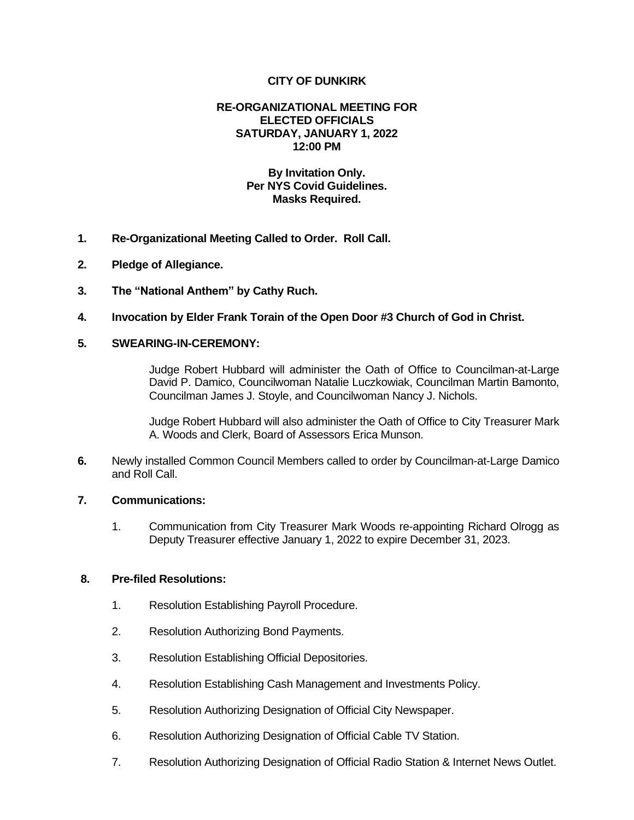# **CITY OF DUNKIRK**

### **RE-ORGANIZATIONAL MEETING FOR ELECTED OFFICIALS SATURDAY, JANUARY 1, 2022 12:00 PM**

# **By Invitation Only. Per NYS Covid Guidelines. Masks Required.**

- **1. Re-Organizational Meeting Called to Order. Roll Call.**
- **2. Pledge of Allegiance.**
- **3. The "National Anthem" by Cathy Ruch.**
- **4. Invocation by Elder Frank Torain of the Open Door #3 Church of God in Christ.**

# **5. SWEARING-IN-CEREMONY:**

Judge Robert Hubbard will administer the Oath of Office to Councilman-at-Large David P. Damico, Councilwoman Natalie Luczkowiak, Councilman Martin Bamonto, Councilman James J. Stoyle, and Councilwoman Nancy J. Nichols.

Judge Robert Hubbard will also administer the Oath of Office to City Treasurer Mark A. Woods and Clerk, Board of Assessors Erica Munson.

**6.** Newly installed Common Council Members called to order by Councilman-at-Large Damico and Roll Call.

### **7. Communications:**

1. Communication from City Treasurer Mark Woods re-appointing Richard Olrogg as Deputy Treasurer effective January 1, 2022 to expire December 31, 2023.

### **8. Pre-filed Resolutions:**

- 1. Resolution Establishing Payroll Procedure.
- 2. Resolution Authorizing Bond Payments.
- 3. Resolution Establishing Official Depositories.
- 4. Resolution Establishing Cash Management and Investments Policy.
- 5. Resolution Authorizing Designation of Official City Newspaper.
- 6. Resolution Authorizing Designation of Official Cable TV Station.
- 7. Resolution Authorizing Designation of Official Radio Station & Internet News Outlet.